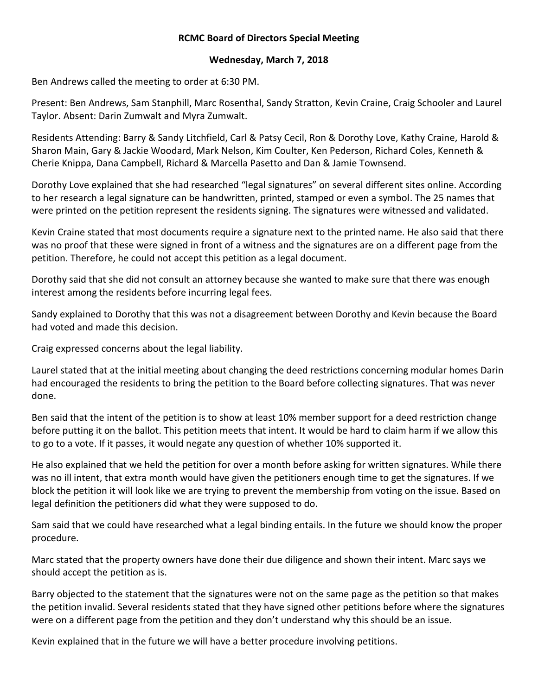## **RCMC Board of Directors Special Meeting**

## **Wednesday, March 7, 2018**

Ben Andrews called the meeting to order at 6:30 PM.

Present: Ben Andrews, Sam Stanphill, Marc Rosenthal, Sandy Stratton, Kevin Craine, Craig Schooler and Laurel Taylor. Absent: Darin Zumwalt and Myra Zumwalt.

Residents Attending: Barry & Sandy Litchfield, Carl & Patsy Cecil, Ron & Dorothy Love, Kathy Craine, Harold & Sharon Main, Gary & Jackie Woodard, Mark Nelson, Kim Coulter, Ken Pederson, Richard Coles, Kenneth & Cherie Knippa, Dana Campbell, Richard & Marcella Pasetto and Dan & Jamie Townsend.

Dorothy Love explained that she had researched "legal signatures" on several different sites online. According to her research a legal signature can be handwritten, printed, stamped or even a symbol. The 25 names that were printed on the petition represent the residents signing. The signatures were witnessed and validated.

Kevin Craine stated that most documents require a signature next to the printed name. He also said that there was no proof that these were signed in front of a witness and the signatures are on a different page from the petition. Therefore, he could not accept this petition as a legal document.

Dorothy said that she did not consult an attorney because she wanted to make sure that there was enough interest among the residents before incurring legal fees.

Sandy explained to Dorothy that this was not a disagreement between Dorothy and Kevin because the Board had voted and made this decision.

Craig expressed concerns about the legal liability.

Laurel stated that at the initial meeting about changing the deed restrictions concerning modular homes Darin had encouraged the residents to bring the petition to the Board before collecting signatures. That was never done.

Ben said that the intent of the petition is to show at least 10% member support for a deed restriction change before putting it on the ballot. This petition meets that intent. It would be hard to claim harm if we allow this to go to a vote. If it passes, it would negate any question of whether 10% supported it.

He also explained that we held the petition for over a month before asking for written signatures. While there was no ill intent, that extra month would have given the petitioners enough time to get the signatures. If we block the petition it will look like we are trying to prevent the membership from voting on the issue. Based on legal definition the petitioners did what they were supposed to do.

Sam said that we could have researched what a legal binding entails. In the future we should know the proper procedure.

Marc stated that the property owners have done their due diligence and shown their intent. Marc says we should accept the petition as is.

Barry objected to the statement that the signatures were not on the same page as the petition so that makes the petition invalid. Several residents stated that they have signed other petitions before where the signatures were on a different page from the petition and they don't understand why this should be an issue.

Kevin explained that in the future we will have a better procedure involving petitions.